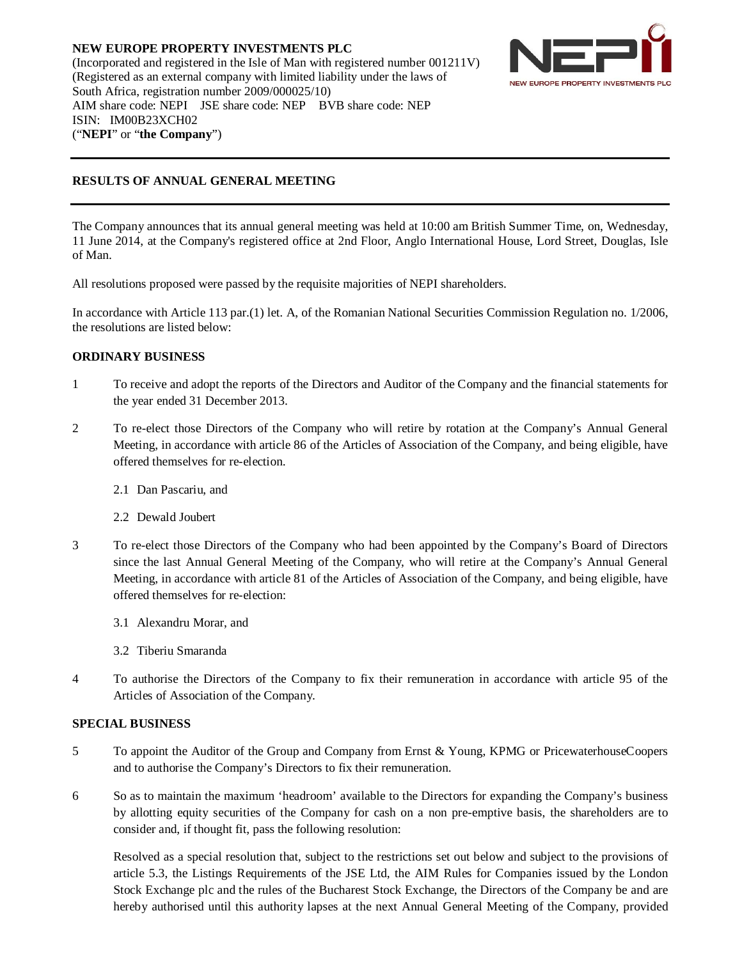**NEW EUROPE PROPERTY INVESTMENTS PLC** (Incorporated and registered in the Isle of Man with registered number 001211V) (Registered as an external company with limited liability under the laws of South Africa, registration number 2009/000025/10) AIM share code: NEPI JSE share code: NEP BVB share code: NEP ISIN: IM00B23XCH02 ("**NEPI**" or "**the Company**")



## **RESULTS OF ANNUAL GENERAL MEETING**

The Company announces that its annual general meeting was held at 10:00 am British Summer Time, on, Wednesday, 11 June 2014, at the Company's registered office at 2nd Floor, Anglo International House, Lord Street, Douglas, Isle of Man.

All resolutions proposed were passed by the requisite majorities of NEPI shareholders.

In accordance with Article 113 par.(1) let. A, of the Romanian National Securities Commission Regulation no. 1/2006, the resolutions are listed below:

## **ORDINARY BUSINESS**

- 1 To receive and adopt the reports of the Directors and Auditor of the Company and the financial statements for the year ended 31 December 2013.
- 2 To re-elect those Directors of the Company who will retire by rotation at the Company's Annual General Meeting, in accordance with article 86 of the Articles of Association of the Company, and being eligible, have offered themselves for re-election.
	- 2.1 Dan Pascariu, and
	- 2.2 Dewald Joubert
- 3 To re-elect those Directors of the Company who had been appointed by the Company's Board of Directors since the last Annual General Meeting of the Company, who will retire at the Company's Annual General Meeting, in accordance with article 81 of the Articles of Association of the Company, and being eligible, have offered themselves for re-election:
	- 3.1 Alexandru Morar, and
	- 3.2 Tiberiu Smaranda
- 4 To authorise the Directors of the Company to fix their remuneration in accordance with article 95 of the Articles of Association of the Company.

## **SPECIAL BUSINESS**

- 5 To appoint the Auditor of the Group and Company from Ernst & Young, KPMG or PricewaterhouseCoopers and to authorise the Company's Directors to fix their remuneration.
- 6 So as to maintain the maximum 'headroom' available to the Directors for expanding the Company's business by allotting equity securities of the Company for cash on a non pre-emptive basis, the shareholders are to consider and, if thought fit, pass the following resolution:

Resolved as a special resolution that, subject to the restrictions set out below and subject to the provisions of article 5.3, the Listings Requirements of the JSE Ltd, the AIM Rules for Companies issued by the London Stock Exchange plc and the rules of the Bucharest Stock Exchange, the Directors of the Company be and are hereby authorised until this authority lapses at the next Annual General Meeting of the Company, provided